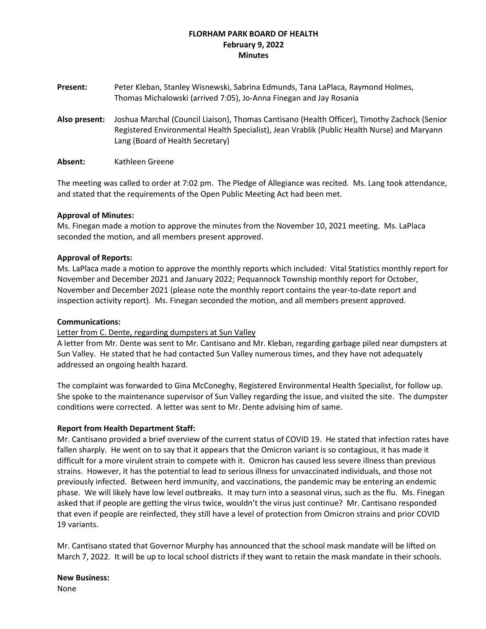# **FLORHAM PARK BOARD OF HEALTH February 9, 2022 Minutes**

- **Present:** Peter Kleban, Stanley Wisnewski, Sabrina Edmunds, Tana LaPlaca, Raymond Holmes, Thomas Michalowski (arrived 7:05), Jo-Anna Finegan and Jay Rosania
- **Also present:** Joshua Marchal (Council Liaison), Thomas Cantisano (Health Officer), Timothy Zachock (Senior Registered Environmental Health Specialist), Jean Vrablik (Public Health Nurse) and Maryann Lang (Board of Health Secretary)
- **Absent:** Kathleen Greene

The meeting was called to order at 7:02 pm. The Pledge of Allegiance was recited. Ms. Lang took attendance, and stated that the requirements of the Open Public Meeting Act had been met.

## **Approval of Minutes:**

Ms. Finegan made a motion to approve the minutes from the November 10, 2021 meeting. Ms. LaPlaca seconded the motion, and all members present approved.

## **Approval of Reports:**

Ms. LaPlaca made a motion to approve the monthly reports which included: Vital Statistics monthly report for November and December 2021 and January 2022; Pequannock Township monthly report for October, November and December 2021 (please note the monthly report contains the year-to-date report and inspection activity report). Ms. Finegan seconded the motion, and all members present approved.

### **Communications:**

### Letter from C. Dente, regarding dumpsters at Sun Valley

A letter from Mr. Dente was sent to Mr. Cantisano and Mr. Kleban, regarding garbage piled near dumpsters at Sun Valley. He stated that he had contacted Sun Valley numerous times, and they have not adequately addressed an ongoing health hazard.

The complaint was forwarded to Gina McConeghy, Registered Environmental Health Specialist, for follow up. She spoke to the maintenance supervisor of Sun Valley regarding the issue, and visited the site. The dumpster conditions were corrected. A letter was sent to Mr. Dente advising him of same.

# **Report from Health Department Staff:**

Mr. Cantisano provided a brief overview of the current status of COVID 19. He stated that infection rates have fallen sharply. He went on to say that it appears that the Omicron variant is so contagious, it has made it difficult for a more virulent strain to compete with it. Omicron has caused less severe illness than previous strains. However, it has the potential to lead to serious illness for unvaccinated individuals, and those not previously infected. Between herd immunity, and vaccinations, the pandemic may be entering an endemic phase. We will likely have low level outbreaks. It may turn into a seasonal virus, such as the flu. Ms. Finegan asked that if people are getting the virus twice, wouldn't the virus just continue? Mr. Cantisano responded that even if people are reinfected, they still have a level of protection from Omicron strains and prior COVID 19 variants.

Mr. Cantisano stated that Governor Murphy has announced that the school mask mandate will be lifted on March 7, 2022. It will be up to local school districts if they want to retain the mask mandate in their schools.

### **New Business:**

None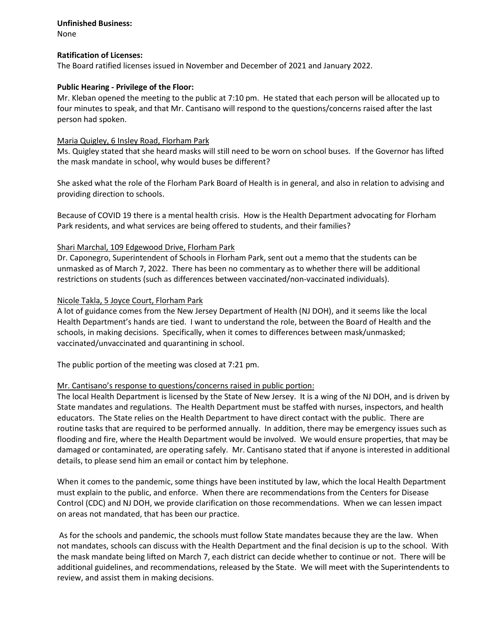# **Unfinished Business:**

None

# **Ratification of Licenses:**

The Board ratified licenses issued in November and December of 2021 and January 2022.

# **Public Hearing - Privilege of the Floor:**

Mr. Kleban opened the meeting to the public at 7:10 pm. He stated that each person will be allocated up to four minutes to speak, and that Mr. Cantisano will respond to the questions/concerns raised after the last person had spoken.

## Maria Quigley, 6 Insley Road, Florham Park

Ms. Quigley stated that she heard masks will still need to be worn on school buses. If the Governor has lifted the mask mandate in school, why would buses be different?

She asked what the role of the Florham Park Board of Health is in general, and also in relation to advising and providing direction to schools.

Because of COVID 19 there is a mental health crisis. How is the Health Department advocating for Florham Park residents, and what services are being offered to students, and their families?

## Shari Marchal, 109 Edgewood Drive, Florham Park

Dr. Caponegro, Superintendent of Schools in Florham Park, sent out a memo that the students can be unmasked as of March 7, 2022. There has been no commentary as to whether there will be additional restrictions on students (such as differences between vaccinated/non-vaccinated individuals).

## Nicole Takla, 5 Joyce Court, Florham Park

A lot of guidance comes from the New Jersey Department of Health (NJ DOH), and it seems like the local Health Department's hands are tied. I want to understand the role, between the Board of Health and the schools, in making decisions. Specifically, when it comes to differences between mask/unmasked; vaccinated/unvaccinated and quarantining in school.

The public portion of the meeting was closed at 7:21 pm.

### Mr. Cantisano's response to questions/concerns raised in public portion:

The local Health Department is licensed by the State of New Jersey. It is a wing of the NJ DOH, and is driven by State mandates and regulations. The Health Department must be staffed with nurses, inspectors, and health educators. The State relies on the Health Department to have direct contact with the public. There are routine tasks that are required to be performed annually. In addition, there may be emergency issues such as flooding and fire, where the Health Department would be involved. We would ensure properties, that may be damaged or contaminated, are operating safely. Mr. Cantisano stated that if anyone is interested in additional details, to please send him an email or contact him by telephone.

When it comes to the pandemic, some things have been instituted by law, which the local Health Department must explain to the public, and enforce. When there are recommendations from the Centers for Disease Control (CDC) and NJ DOH, we provide clarification on those recommendations. When we can lessen impact on areas not mandated, that has been our practice.

As for the schools and pandemic, the schools must follow State mandates because they are the law. When not mandates, schools can discuss with the Health Department and the final decision is up to the school. With the mask mandate being lifted on March 7, each district can decide whether to continue or not. There will be additional guidelines, and recommendations, released by the State. We will meet with the Superintendents to review, and assist them in making decisions.